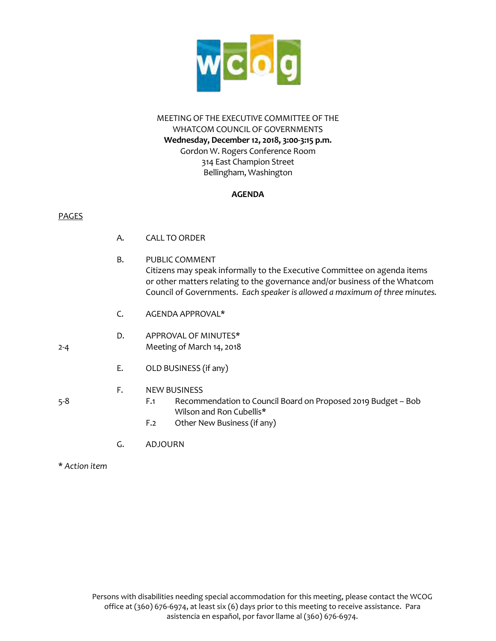

## MEETING OF THE EXECUTIVE COMMITTEE OF THE WHATCOM COUNCIL OF GOVERNMENTS **Wednesday, December 12, 2018, 3:00-3:15 p.m.** Gordon W. Rogers Conference Room 314 East Champion Street Bellingham, Washington

## **AGENDA**

## PAGES

- A. CALL TO ORDER
- B. PUBLIC COMMENT Citizens may speak informally to the Executive Committee on agenda items or other matters relating to the governance and/or business of the Whatcom Council of Governments. *Each speaker is allowed a maximum of three minutes.*
- C. AGENDA APPROVAL\*

## D. APPROVAL OF MINUTES\* 2-4 Meeting of March 14, 2018

E. OLD BUSINESS (if any)

## F. NEW BUSINESS

- 5-8 F.1 Recommendation to Council Board on Proposed 2019 Budget Bob Wilson and Ron Cubellis\*
	- F.2 Other New Business (if any)
	- G. ADJOURN
- \* *Action item*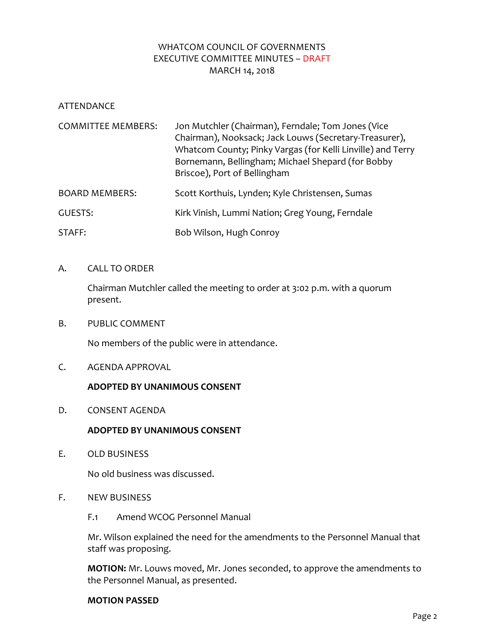## WHATCOM COUNCIL OF GOVERNMENTS EXECUTIVE COMMITTEE MINUTES – DRAFT MARCH 14, 2018

ATTENDANCE

| <b>COMMITTEE MEMBERS:</b> | Jon Mutchler (Chairman), Ferndale; Tom Jones (Vice<br>Chairman), Nooksack; Jack Louws (Secretary-Treasurer),<br>Whatcom County; Pinky Vargas (for Kelli Linville) and Terry<br>Bornemann, Bellingham; Michael Shepard (for Bobby<br>Briscoe), Port of Bellingham |  |  |  |  |  |
|---------------------------|------------------------------------------------------------------------------------------------------------------------------------------------------------------------------------------------------------------------------------------------------------------|--|--|--|--|--|
| <b>BOARD MEMBERS:</b>     | Scott Korthuis, Lynden; Kyle Christensen, Sumas                                                                                                                                                                                                                  |  |  |  |  |  |
| <b>GUESTS:</b>            | Kirk Vinish, Lummi Nation; Greg Young, Ferndale                                                                                                                                                                                                                  |  |  |  |  |  |
| STAFF:                    | Bob Wilson, Hugh Conroy                                                                                                                                                                                                                                          |  |  |  |  |  |

## A. CALL TO ORDER

Chairman Mutchler called the meeting to order at 3:02 p.m. with a quorum present.

B. PUBLIC COMMENT

No members of the public were in attendance.

C. AGENDA APPROVAL

## **ADOPTED BY UNANIMOUS CONSENT**

D. CONSENT AGENDA

## **ADOPTED BY UNANIMOUS CONSENT**

E. OLD BUSINESS

No old business was discussed.

- F. NEW BUSINESS
	- F.1 Amend WCOG Personnel Manual

Mr. Wilson explained the need for the amendments to the Personnel Manual that staff was proposing.

**MOTION:** Mr. Louws moved, Mr. Jones seconded, to approve the amendments to the Personnel Manual, as presented.

#### **MOTION PASSED**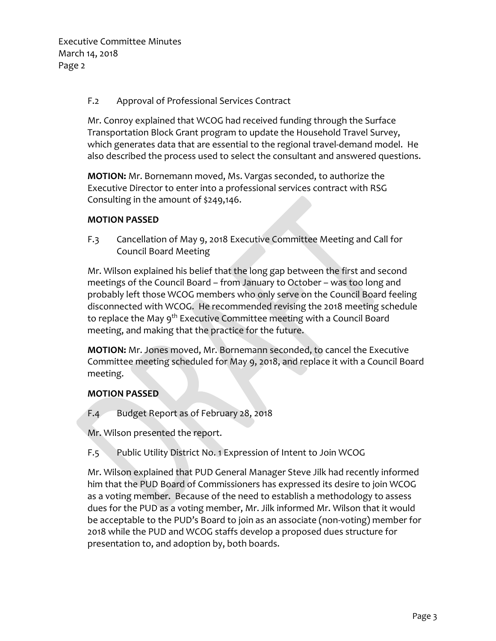Executive Committee Minutes March 14, 2018 Page 2

## F.2 Approval of Professional Services Contract

Mr. Conroy explained that WCOG had received funding through the Surface Transportation Block Grant program to update the Household Travel Survey, which generates data that are essential to the regional travel-demand model. He also described the process used to select the consultant and answered questions.

**MOTION:** Mr. Bornemann moved, Ms. Vargas seconded, to authorize the Executive Director to enter into a professional services contract with RSG Consulting in the amount of \$249,146.

## **MOTION PASSED**

F.3 Cancellation of May 9, 2018 Executive Committee Meeting and Call for Council Board Meeting

Mr. Wilson explained his belief that the long gap between the first and second meetings of the Council Board – from January to October – was too long and probably left those WCOG members who only serve on the Council Board feeling disconnected with WCOG. He recommended revising the 2018 meeting schedule to replace the May 9<sup>th</sup> Executive Committee meeting with a Council Board meeting, and making that the practice for the future.

**MOTION:** Mr. Jones moved, Mr. Bornemann seconded, to cancel the Executive Committee meeting scheduled for May 9, 2018, and replace it with a Council Board meeting.

## **MOTION PASSED**

F.4 Budget Report as of February 28, 2018

Mr. Wilson presented the report.

F.5 Public Utility District No. 1 Expression of Intent to Join WCOG

Mr. Wilson explained that PUD General Manager Steve Jilk had recently informed him that the PUD Board of Commissioners has expressed its desire to join WCOG as a voting member. Because of the need to establish a methodology to assess dues for the PUD as a voting member, Mr. Jilk informed Mr. Wilson that it would be acceptable to the PUD's Board to join as an associate (non-voting) member for 2018 while the PUD and WCOG staffs develop a proposed dues structure for presentation to, and adoption by, both boards.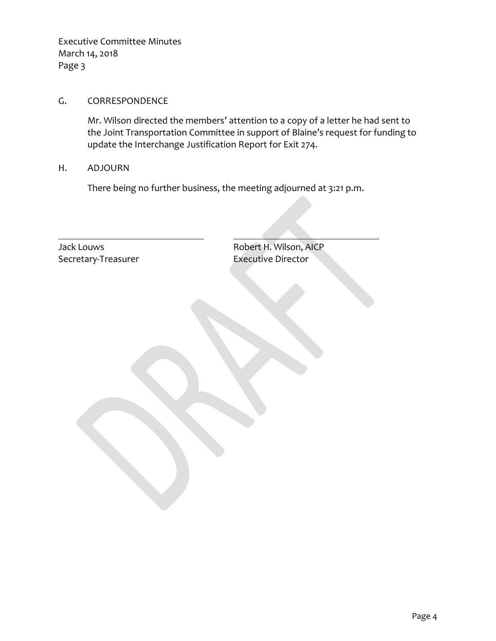Executive Committee Minutes March 14, 2018 Page 3

## G. CORRESPONDENCE

Mr. Wilson directed the members' attention to a copy of a letter he had sent to the Joint Transportation Committee in support of Blaine's request for funding to update the Interchange Justification Report for Exit 274.

H. ADJOURN

There being no further business, the meeting adjourned at 3:21 p.m.

Secretary-Treasurer Executive Director

Jack Louws **Access 19 Access 12 Access 12 Access 12 Access 12 Access 12 Access 12 Access 12 Access 12 Access 12**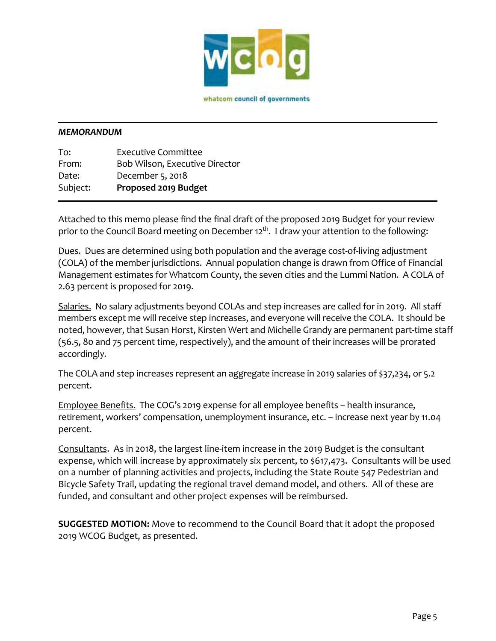

whatcom council of governments

#### *MEMORANDUM*

To: Executive Committee From: Bob Wilson, Executive Director Date: December 5, 2018 Subject: **Proposed 2019 Budget**

Attached to this memo please find the final draft of the proposed 2019 Budget for your review prior to the Council Board meeting on December 12<sup>th</sup>. I draw your attention to the following:

Dues. Dues are determined using both population and the average cost-of-living adjustment (COLA) of the member jurisdictions. Annual population change is drawn from Office of Financial Management estimates for Whatcom County, the seven cities and the Lummi Nation. A COLA of 2.63 percent is proposed for 2019.

Salaries. No salary adjustments beyond COLAs and step increases are called for in 2019. All staff members except me will receive step increases, and everyone will receive the COLA. It should be noted, however, that Susan Horst, Kirsten Wert and Michelle Grandy are permanent part-time staff (56.5, 80 and 75 percent time, respectively), and the amount of their increases will be prorated accordingly.

The COLA and step increases represent an aggregate increase in 2019 salaries of \$37,234, or 5.2 percent.

Employee Benefits. The COG's 2019 expense for all employee benefits – health insurance, retirement, workers' compensation, unemployment insurance, etc. – increase next year by 11.04 percent.

Consultants. As in 2018, the largest line-item increase in the 2019 Budget is the consultant expense, which will increase by approximately six percent, to \$617,473. Consultants will be used on a number of planning activities and projects, including the State Route 547 Pedestrian and Bicycle Safety Trail, updating the regional travel demand model, and others. All of these are funded, and consultant and other project expenses will be reimbursed.

**SUGGESTED MOTION:** Move to recommend to the Council Board that it adopt the proposed 2019 WCOG Budget, as presented.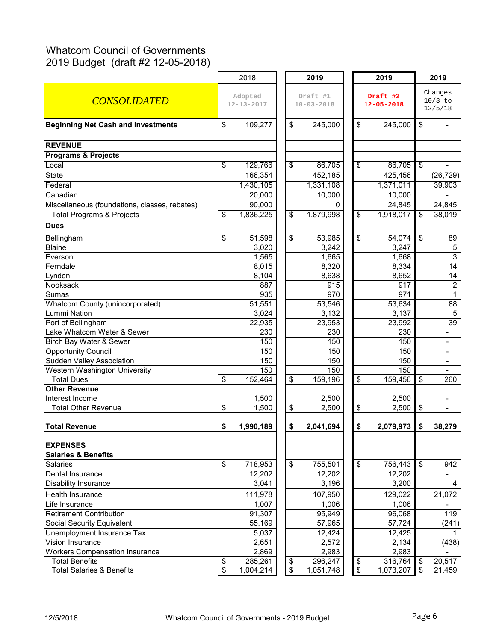# Whatcom Council of Governments 2019 Budget (draft #2 12-05-2018)

|                                                    |          | 2018                        |                               | 2019                         | 2019                           |                  | 2019                            |                          |
|----------------------------------------------------|----------|-----------------------------|-------------------------------|------------------------------|--------------------------------|------------------|---------------------------------|--------------------------|
| <b>CONSOLIDATED</b>                                |          | Adopted<br>$12 - 13 - 2017$ |                               | Draft #1<br>$10 - 03 - 2018$ | Draft #2<br>$12 - 05 - 2018$   |                  | Changes<br>$10/3$ to<br>12/5/18 |                          |
| <b>Beginning Net Cash and Investments</b>          | \$       | 109,277                     | \$                            | 245,000                      | \$                             | 245,000          | $\sqrt[6]{\frac{1}{2}}$         |                          |
| <b>REVENUE</b>                                     |          |                             |                               |                              |                                |                  |                                 |                          |
| <b>Programs &amp; Projects</b>                     |          |                             |                               |                              |                                |                  |                                 |                          |
| Local                                              | \$       | 129,766                     | \$                            | 86,705                       | \$                             | 86,705           | $\overline{\$}$                 |                          |
| <b>State</b>                                       |          | 166,354                     |                               | 452,185                      |                                | 425,456          |                                 | (26, 729)                |
| Federal                                            |          | 1,430,105                   |                               | 1,331,108                    |                                | 1,371,011        |                                 | 39,903                   |
| Canadian                                           |          | 20,000                      |                               | 10,000                       |                                | 10,000           |                                 |                          |
| Miscellaneous (foundations, classes, rebates)      |          | 90,000                      |                               | $\Omega$                     |                                | 24,845           |                                 | 24,845                   |
| <b>Total Programs &amp; Projects</b>               | \$       | 1,836,225                   | \$                            | 1,879,998                    | \$                             | 1,918,017        | \$                              | 38,019                   |
| <b>Dues</b>                                        |          |                             |                               |                              |                                |                  |                                 |                          |
| Bellingham                                         | \$       | 51,598                      | \$                            | 53,985                       | \$                             | 54,074           | \$                              | 89                       |
| <b>Blaine</b>                                      |          | 3,020                       |                               | 3,242                        |                                | 3,247            |                                 | $\sqrt{5}$               |
| Everson                                            |          | 1,565                       |                               | 1,665                        |                                | 1,668            |                                 | $\overline{3}$           |
| Ferndale                                           |          | 8,015                       |                               | 8,320                        |                                | 8,334            |                                 | $\overline{14}$          |
| Lynden                                             |          | 8,104                       |                               | 8,638                        |                                | 8,652            |                                 | $\overline{14}$          |
| Nooksack                                           |          | 887                         |                               | 915                          |                                | 917              |                                 | $\overline{c}$           |
| Sumas                                              |          | 935                         |                               | 970                          |                                | 971              |                                 | $\mathbf{1}$             |
| <b>Whatcom County (unincorporated)</b>             |          | 51,551                      |                               | 53,546                       |                                | 53,634           |                                 | 88                       |
| Lummi Nation                                       |          | 3,024                       |                               | 3,132                        |                                | 3,137            |                                 | 5                        |
| Port of Bellingham                                 |          | 22,935                      |                               | 23,953                       |                                | 23,992           |                                 | 39                       |
| Lake Whatcom Water & Sewer                         |          | 230                         |                               | 230                          |                                | 230              |                                 |                          |
| Birch Bay Water & Sewer                            |          | 150                         |                               | 150                          |                                | 150              |                                 |                          |
| <b>Opportunity Council</b>                         |          | 150                         |                               | 150                          |                                | 150              |                                 |                          |
| <b>Sudden Valley Association</b>                   |          | 150                         |                               | 150                          |                                | 150              |                                 | $\overline{\phantom{0}}$ |
| Western Washington University                      |          | 150                         |                               | 150                          |                                | 150              |                                 | $\overline{\phantom{0}}$ |
| <b>Total Dues</b>                                  | \$       | 152,464                     | \$                            | 159,196                      | \$                             | 159,456          | $\boldsymbol{\mathsf{S}}$       | 260                      |
| <b>Other Revenue</b>                               |          |                             |                               |                              |                                |                  |                                 |                          |
| Interest Income                                    |          | 1,500                       |                               | 2,500                        |                                | 2,500            |                                 | $\blacksquare$           |
| <b>Total Other Revenue</b>                         | \$       | 1,500                       | \$                            | 2,500                        | \$                             | 2,500            | \$                              | $\overline{a}$           |
| <b>Total Revenue</b>                               | \$       | 1,990,189                   | \$                            | 2,041,694                    | \$                             | 2,079,973        | \$                              | 38,279                   |
| <b>EXPENSES</b>                                    |          |                             |                               |                              |                                |                  |                                 |                          |
| <b>Salaries &amp; Benefits</b>                     |          |                             |                               |                              |                                |                  |                                 |                          |
| Salaries                                           | \$       | 718,953                     | \$                            | 755,501                      | \$                             | 756,443          | $\sqrt[6]{3}$                   | 942                      |
| Dental Insurance                                   |          | 12,202                      |                               | 12,202                       |                                | 12,202           |                                 |                          |
| <b>Disability Insurance</b>                        |          | 3,041                       |                               | 3,196                        |                                | 3,200            |                                 | 4                        |
|                                                    |          |                             |                               |                              |                                |                  |                                 |                          |
| Health Insurance                                   |          | 111,978                     |                               | 107,950                      |                                | 129,022          |                                 | 21,072                   |
| Life Insurance                                     |          | 1,007                       |                               | 1,006                        |                                | 1,006            |                                 |                          |
| <b>Retirement Contribution</b>                     |          | 91,307                      |                               | 95,949                       |                                | 96,068           |                                 | 119                      |
| Social Security Equivalent                         |          | 55,169                      |                               | 57,965                       |                                | 57,724           |                                 | (241)                    |
| Unemployment Insurance Tax                         |          | 5,037                       |                               | 12,424                       |                                | 12,425           |                                 | 1                        |
| Vision Insurance<br>Workers Compensation Insurance |          | 2,651                       |                               | 2,572                        |                                | 2,134            |                                 | (438)                    |
| <b>Total Benefits</b>                              |          | 2,869<br>285,261            |                               | 2,983<br>296,247             |                                | 2,983<br>316,764 | $\boldsymbol{\mathsf{\$}}$      | 20,517                   |
| <b>Total Salaries &amp; Benefits</b>               | \$<br>\$ |                             | \$<br>$\overline{\mathbf{e}}$ |                              | \$<br>$\overline{\mathcal{L}}$ | 1,073,207        | $\overline{\mathbf{s}}$         |                          |
|                                                    |          | 1,004,214                   |                               | 1,051,748                    |                                |                  |                                 | 21,459                   |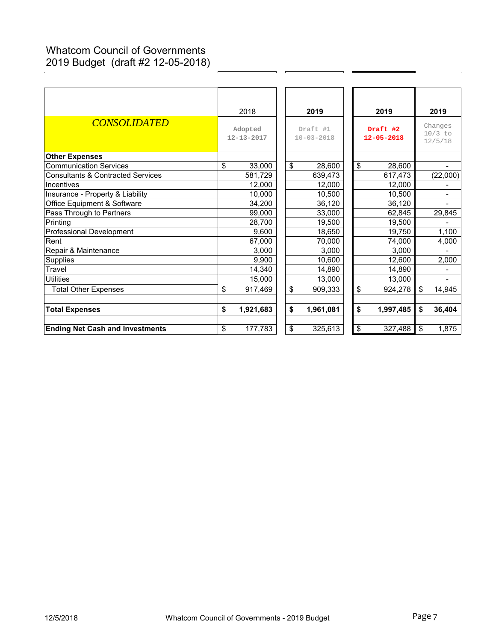# Whatcom Council of Governments 2019 Budget (draft #2 12-05-2018)

| <b>CONSOLIDATED</b>                          | 2018                        |                              | 2019      | 2019 |                              |           | 2019<br>Changes |           |
|----------------------------------------------|-----------------------------|------------------------------|-----------|------|------------------------------|-----------|-----------------|-----------|
|                                              | Adopted<br>$12 - 13 - 2017$ | Draft #1<br>$10 - 03 - 2018$ |           |      | Draft #2<br>$12 - 05 - 2018$ |           |                 | $10/3$ to |
|                                              |                             |                              |           |      |                              |           |                 | 12/5/18   |
| <b>Other Expenses</b>                        |                             |                              |           |      |                              |           |                 |           |
| <b>Communication Services</b>                | \$<br>33,000                | \$                           | 28,600    |      | \$                           | 28,600    |                 |           |
| <b>Consultants &amp; Contracted Services</b> | 581,729                     |                              | 639,473   |      |                              | 617,473   |                 | (22,000)  |
| Incentives                                   | 12,000                      |                              | 12.000    |      |                              | 12,000    |                 |           |
| Insurance - Property & Liability             | 10,000                      |                              | 10,500    |      |                              | 10,500    |                 |           |
| Office Equipment & Software                  | 34,200                      |                              | 36,120    |      |                              | 36,120    |                 |           |
| Pass Through to Partners                     | 99,000                      |                              | 33,000    |      |                              | 62,845    |                 | 29,845    |
| Printing                                     | 28,700                      |                              | 19,500    |      |                              | 19,500    |                 |           |
| <b>Professional Development</b>              | 9,600                       |                              | 18,650    |      |                              | 19,750    |                 | 1,100     |
| Rent                                         | 67,000                      |                              | 70,000    |      |                              | 74,000    |                 | 4,000     |
| Repair & Maintenance                         | 3,000                       |                              | 3,000     |      |                              | 3,000     |                 |           |
| <b>Supplies</b>                              | 9,900                       |                              | 10,600    |      |                              | 12,600    |                 | 2,000     |
| Travel                                       | 14,340                      |                              | 14,890    |      |                              | 14,890    |                 |           |
| <b>Utilities</b>                             | 15,000                      |                              | 13,000    |      |                              | 13,000    |                 |           |
| <b>Total Other Expenses</b>                  | \$<br>917,469               | \$                           | 909,333   |      | \$                           | 924,278   | \$              | 14,945    |
| <b>Total Expenses</b>                        | \$<br>1,921,683             | \$                           | 1,961,081 |      | \$                           | 1,997,485 | \$              | 36,404    |
| <b>Ending Net Cash and Investments</b>       | \$<br>177,783               | \$                           | 325,613   |      | $\boldsymbol{\mathsf{S}}$    | 327,488   | \$              | 1,875     |